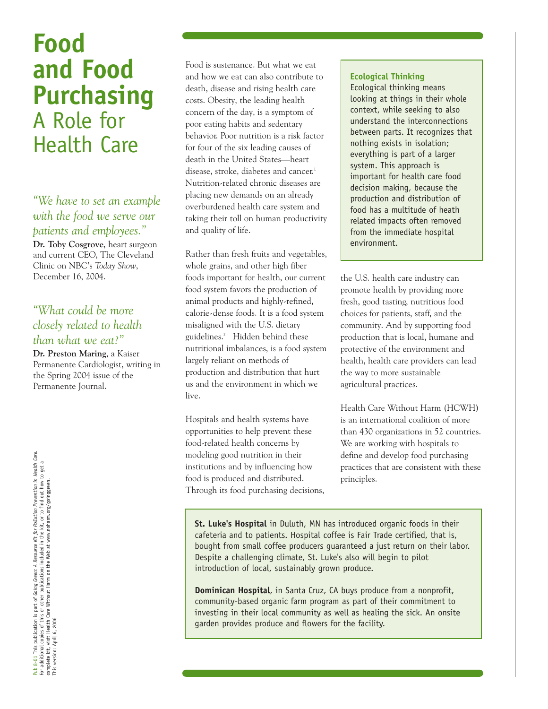# **Food and Food Purchasing**  A Role for Health Care

*"We have to set an example with the food we serve our patients and employees."* **Dr. Toby Cosgrove**, heart surgeon and current CEO, The Cleveland Clinic on NBC's *Today Show*, December 16, 2004.

# *"What could be more closely related to health than what we eat?"*

**Dr. Preston Maring**, a Kaiser Permanente Cardiologist, writing in the Spring 2004 issue of the Permanente Journal.

Pub 8-01 This publication is part of *Going Green: A Resource Kit for Pollution Prevention in Health Care.*<br>For additional copies of this or other publications included in the kit, or to find out how to get a<br>complete kit, Pub 8-01 This publication is part of *Going Green: A Resource Kit for Pollution Prevention in Health Care.*<br>For additional copies of this or other publications included in the kit, or to find out how to get a<br>This version:

Food is sustenance. But what we eat and how we eat can also contribute to death, disease and rising health care costs. Obesity, the leading health concern of the day, is a symptom of poor eating habits and sedentary behavior. Poor nutrition is a risk factor for four of the six leading causes of death in the United States—heart disease, stroke, diabetes and cancer.<sup>1</sup> Nutrition-related chronic diseases are placing new demands on an already overburdened health care system and taking their toll on human productivity and quality of life.

Rather than fresh fruits and vegetables, whole grains, and other high fiber foods important for health, our current food system favors the production of animal products and highly-refined, calorie-dense foods. It is a food system misaligned with the U.S. dietary guidelines.2 Hidden behind these nutritional imbalances, is a food system largely reliant on methods of production and distribution that hurt us and the environment in which we live.

Hospitals and health systems have opportunities to help prevent these food-related health concerns by modeling good nutrition in their institutions and by influencing how food is produced and distributed. Through its food purchasing decisions,

#### **Ecological Thinking**

Ecological thinking means looking at things in their whole context, while seeking to also understand the interconnections between parts. It recognizes that nothing exists in isolation; everything is part of a larger system. This approach is important for health care food decision making, because the production and distribution of food has a multitude of heath related impacts often removed from the immediate hospital environment.

the U.S. health care industry can promote health by providing more fresh, good tasting, nutritious food choices for patients, staff, and the community. And by supporting food production that is local, humane and protective of the environment and health, health care providers can lead the way to more sustainable agricultural practices.

Health Care Without Harm (HCWH) is an international coalition of more than 430 organizations in 52 countries. We are working with hospitals to define and develop food purchasing practices that are consistent with these principles.

**St. Luke's Hospital** in Duluth, MN has introduced organic foods in their cafeteria and to patients. Hospital coffee is Fair Trade certified, that is, bought from small coffee producers guaranteed a just return on their labor. Despite a challenging climate, St. Luke's also will begin to pilot introduction of local, sustainably grown produce.

**Dominican Hospital**, in Santa Cruz, CA buys produce from a nonprofit, community-based organic farm program as part of their commitment to investing in their local community as well as healing the sick. An onsite garden provides produce and flowers for the facility.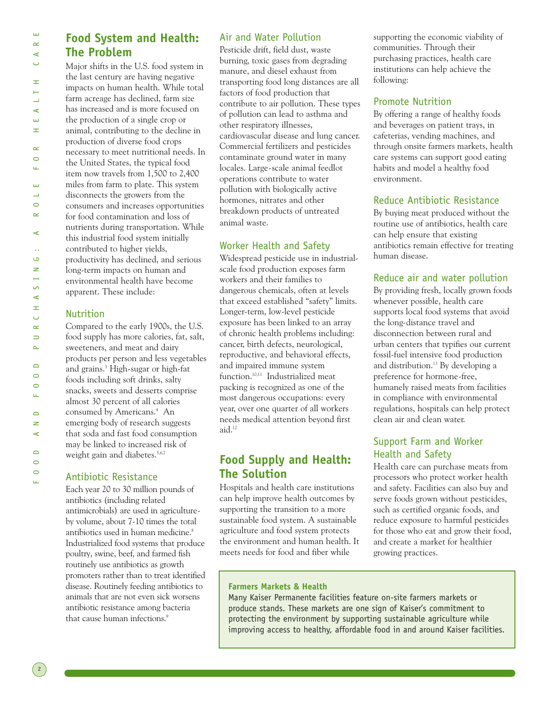Ц.

2

FOOD AND FOOD PURCHASING: A ROLE FOR HEALTH CARE  $\propto$  $\circ$ Щ шı  $\overline{\phantom{0}}$  $\circ$  $\sim$  $\prec$  $\ddotsc$ G  $\geq$  $\mapsto$  $\sim$  $\prec$ H  $\cup$  $\propto$  $\Rightarrow$  $\Delta$  $\overline{\phantom{0}}$  $\circ$  $\circ$ Щ  $\Box$  $\geq$  $\prec$  $\overline{\phantom{0}}$  $\sim$  $\circ$ 

Ш  $\sim$  $\prec$  $\cup$ 

Ŧ, Ē  $\overline{\phantom{0}}$  $\prec$ Ш Ŧ.

# **Food System and Health: The Problem**

Major shifts in the U.S. food system in the last century are having negative impacts on human health. While total farm acreage has declined, farm size has increased and is more focused on the production of a single crop or animal, contributing to the decline in production of diverse food crops necessary to meet nutritional needs. In the United States, the typical food item now travels from 1,500 to 2,400 miles from farm to plate. This system disconnects the growers from the consumers and increases opportunities for food contamination and loss of nutrients during transportation. While this industrial food system initially contributed to higher yields, productivity has declined, and serious long-term impacts on human and environmental health have become apparent. These include:

### Nutrition

Compared to the early 1900s, the U.S. food supply has more calories, fat, salt, sweeteners, and meat and dairy products per person and less vegetables and grains.3 High-sugar or high-fat foods including soft drinks, salty snacks, sweets and desserts comprise almost 30 percent of all calories consumed by Americans.<sup>4</sup> An emerging body of research suggests that soda and fast food consumption may be linked to increased risk of weight gain and diabetes.<sup>5,6,7</sup>

# Antibiotic Resistance

Each year 20 to 30 million pounds of antibiotics (including related antimicrobials) are used in agricultureby volume, about 7-10 times the total antibiotics used in human medicine.<sup>8</sup> Industrialized food systems that produce poultry, swine, beef, and farmed fish routinely use antibiotics as growth promoters rather than to treat identified disease. Routinely feeding antibiotics to animals that are not even sick worsens antibiotic resistance among bacteria that cause human infections.<sup>9</sup>

# Air and Water Pollution

Pesticide drift, field dust, waste burning, toxic gases from degrading manure, and diesel exhaust from transporting food long distances are all factors of food production that contribute to air pollution. These types of pollution can lead to asthma and other respiratory illnesses, cardiovascular disease and lung cancer. Commercial fertilizers and pesticides contaminate ground water in many locales. Large-scale animal feedlot operations contribute to water pollution with biologically active hormones, nitrates and other breakdown products of untreated animal waste.

# Worker Health and Safety

Widespread pesticide use in industrialscale food production exposes farm workers and their families to dangerous chemicals, often at levels that exceed established "safety" limits. Longer-term, low-level pesticide exposure has been linked to an array of chronic health problems including: cancer, birth defects, neurological, reproductive, and behavioral effects, and impaired immune system function.10,11 Industrialized meat packing is recognized as one of the most dangerous occupations: every year, over one quarter of all workers needs medical attention beyond first aid.12

# **Food Supply and Health: The Solution**

Hospitals and health care institutions can help improve health outcomes by supporting the transition to a more sustainable food system. A sustainable agriculture and food system protects the environment and human health. It meets needs for food and fiber while

supporting the economic viability of communities. Through their purchasing practices, health care institutions can help achieve the following:

# Promote Nutrition

By offering a range of healthy foods and beverages on patient trays, in cafeterias, vending machines, and through onsite farmers markets, health care systems can support good eating habits and model a healthy food environment.

# Reduce Antibiotic Resistance

By buying meat produced without the routine use of antibiotics, health care can help ensure that existing antibiotics remain effective for treating human disease.

# Reduce air and water pollution

By providing fresh, locally grown foods whenever possible, health care supports local food systems that avoid the long-distance travel and disconnection between rural and urban centers that typifies our current fossil-fuel intensive food production and distribution.<sup>13</sup> By developing a preference for hormone-free, humanely raised meats from facilities in compliance with environmental regulations, hospitals can help protect clean air and clean water.

# Support Farm and Worker Health and Safety

Health care can purchase meats from processors who protect worker health and safety. Facilities can also buy and serve foods grown without pesticides, such as certified organic foods, and reduce exposure to harmful pesticides for those who eat and grow their food, and create a market for healthier growing practices.

### **Farmers Markets & Health**

Many Kaiser Permanente facilities feature on-site farmers markets or produce stands. These markets are one sign of Kaiser's commitment to protecting the environment by supporting sustainable agriculture while improving access to healthy, affordable food in and around Kaiser facilities.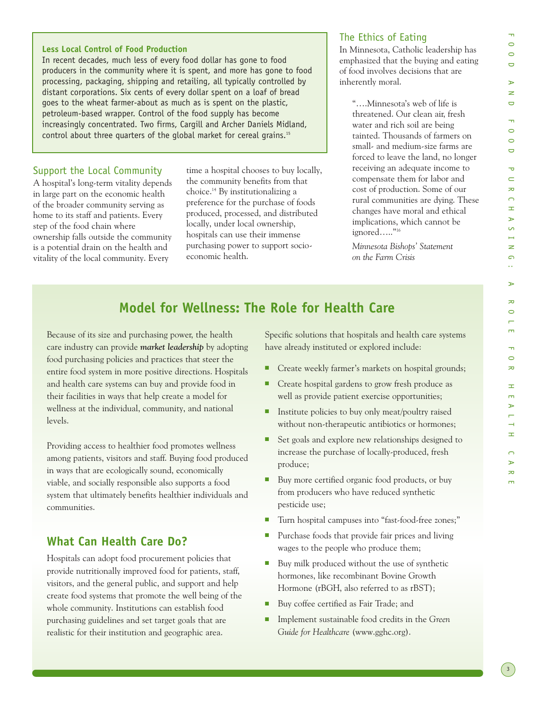# FOOD AND FOOD PURCHASING: A ROLE FOR HEALTH CARE  $\circ$  $\Box$  $\rightarrow$  $\rightarrow$  $\Box$  $\overline{\mathbf{r}}$  $\circ$  $\circ$  $\overline{\phantom{0}}$  $\overline{\mathbf{u}}$  $\subset$  $\bar{z}$  $\bigcap$  $\pm$  $\rightarrow$  $\sqrt{2}$  $\rightarrow$  $\Rightarrow$  $\Omega$  $\ddot{\phantom{a}}$  $\triangleright$  $\overline{z}$  $\circ$  $\overline{m}$  $\overline{\phantom{a}}$  $\circ$  $\infty$  $\pm$  $\overline{m}$  $\triangleright$  $\rightarrow$  $\pm$  $\overline{\phantom{0}}$  $\rightarrow$  $\infty$  $\overline{a}$

 $\overline{\mathbf{u}}$  $\circ$ 

#### **Less Local Control of Food Production**

In recent decades, much less of every food dollar has gone to food producers in the community where it is spent, and more has gone to food processing, packaging, shipping and retailing, all typically controlled by distant corporations. Six cents of every dollar spent on a loaf of bread goes to the wheat farmer-about as much as is spent on the plastic, petroleum-based wrapper. Control of the food supply has become increasingly concentrated. Two firms, Cargill and Archer Daniels Midland, control about three quarters of the global market for cereal grains.15

#### Support the Local Community

A hospital's long-term vitality depends in large part on the economic health of the broader community serving as home to its staff and patients. Every step of the food chain where ownership falls outside the community is a potential drain on the health and vitality of the local community. Every

time a hospital chooses to buy locally, the community benefits from that choice.14 By institutionalizing a preference for the purchase of foods produced, processed, and distributed locally, under local ownership, hospitals can use their immense purchasing power to support socioeconomic health.

#### The Ethics of Eating

In Minnesota, Catholic leadership has emphasized that the buying and eating of food involves decisions that are inherently moral.

"….Minnesota's web of life is threatened. Our clean air, fresh water and rich soil are being tainted. Thousands of farmers on small- and medium-size farms are forced to leave the land, no longer receiving an adequate income to compensate them for labor and cost of production. Some of our rural communities are dying. These changes have moral and ethical implications, which cannot be ignored….."16

*Minnesota Bishops' Statement on the Farm Crisis* 

# **Model for Wellness: The Role for Health Care**

Because of its size and purchasing power, the health care industry can provide *market leadership* by adopting food purchasing policies and practices that steer the entire food system in more positive directions. Hospitals and health care systems can buy and provide food in their facilities in ways that help create a model for wellness at the individual, community, and national levels.

Providing access to healthier food promotes wellness among patients, visitors and staff. Buying food produced in ways that are ecologically sound, economically viable, and socially responsible also supports a food system that ultimately benefits healthier individuals and communities.

# **What Can Health Care Do?**

Hospitals can adopt food procurement policies that provide nutritionally improved food for patients, staff, visitors, and the general public, and support and help create food systems that promote the well being of the whole community. Institutions can establish food purchasing guidelines and set target goals that are realistic for their institution and geographic area.

Specific solutions that hospitals and health care systems have already instituted or explored include:

- Create weekly farmer's markets on hospital grounds;
- Create hospital gardens to grow fresh produce as well as provide patient exercise opportunities;
- Institute policies to buy only meat/poultry raised without non-therapeutic antibiotics or hormones;
- Set goals and explore new relationships designed to increase the purchase of locally-produced, fresh produce;
- Buy more certified organic food products, or buy from producers who have reduced synthetic pesticide use;
- Turn hospital campuses into "fast-food-free zones;"
- Purchase foods that provide fair prices and living wages to the people who produce them;
- Buy milk produced without the use of synthetic hormones, like recombinant Bovine Growth Hormone (rBGH, also referred to as rBST);
- Buy coffee certified as Fair Trade; and
- Implement sustainable food credits in the *Green Guide for Healthcare* (www.gghc.org).